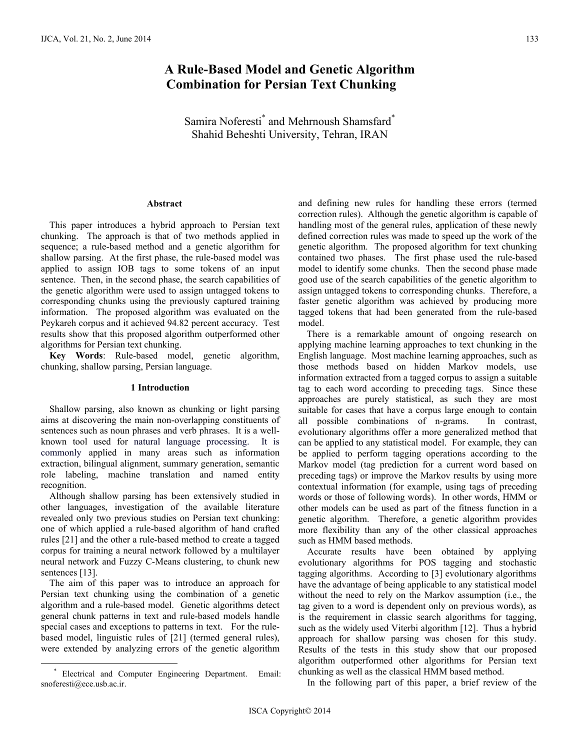# **A Rule-Based Model and Genetic Algorithm Combination for Persian Text Chunking**

Samira Noferesti<sup>\*</sup> and Mehrnoush Shamsfard<sup>\*</sup> Shahid Beheshti University, Tehran, IRAN

# **Abstract**

This paper introduces a hybrid approach to Persian text chunking. The approach is that of two methods applied in sequence; a rule-based method and a genetic algorithm for shallow parsing. At the first phase, the rule-based model was applied to assign IOB tags to some tokens of an input sentence. Then, in the second phase, the search capabilities of the genetic algorithm were used to assign untagged tokens to corresponding chunks using the previously captured training information. The proposed algorithm was evaluated on the Peykareh corpus and it achieved 94.82 percent accuracy. Test results show that this proposed algorithm outperformed other algorithms for Persian text chunking.

**Key Words**: Rule-based model, genetic algorithm, chunking, shallow parsing, Persian language.

#### **1 Introduction**

Shallow parsing, also known as chunking or light parsing aims at discovering the main non-overlapping constituents of sentences such as noun phrases and verb phrases. It is a wellknown tool used for natural language processing. It is commonly applied in many areas such as information extraction, bilingual alignment, summary generation, semantic role labeling, machine translation and named entity recognition.

Although shallow parsing has been extensively studied in other languages, investigation of the available literature revealed only two previous studies on Persian text chunking: one of which applied a rule-based algorithm of hand crafted rules [21] and the other a rule-based method to create a tagged corpus for training a neural network followed by a multilayer neural network and Fuzzy C-Means clustering, to chunk new sentences [13].

The aim of this paper was to introduce an approach for Persian text chunking using the combination of a genetic algorithm and a rule-based model. Genetic algorithms detect general chunk patterns in text and rule-based models handle special cases and exceptions to patterns in text. For the rulebased model, linguistic rules of [21] (termed general rules), were extended by analyzing errors of the genetic algorithm

and defining new rules for handling these errors (termed correction rules). Although the genetic algorithm is capable of handling most of the general rules, application of these newly defined correction rules was made to speed up the work of the genetic algorithm. The proposed algorithm for text chunking contained two phases. The first phase used the rule-based model to identify some chunks. Then the second phase made good use of the search capabilities of the genetic algorithm to assign untagged tokens to corresponding chunks. Therefore, a faster genetic algorithm was achieved by producing more tagged tokens that had been generated from the rule-based model.

There is a remarkable amount of ongoing research on applying machine learning approaches to text chunking in the English language. Most machine learning approaches, such as those methods based on hidden Markov models, use information extracted from a tagged corpus to assign a suitable tag to each word according to preceding tags. Since these approaches are purely statistical, as such they are most suitable for cases that have a corpus large enough to contain all possible combinations of n-grams. In contrast, evolutionary algorithms offer a more generalized method that can be applied to any statistical model. For example, they can be applied to perform tagging operations according to the Markov model (tag prediction for a current word based on preceding tags) or improve the Markov results by using more contextual information (for example, using tags of preceding words or those of following words). In other words, HMM or other models can be used as part of the fitness function in a genetic algorithm. Therefore, a genetic algorithm provides more flexibility than any of the other classical approaches such as HMM based methods.

Accurate results have been obtained by applying evolutionary algorithms for POS tagging and stochastic tagging algorithms. According to [3] evolutionary algorithms have the advantage of being applicable to any statistical model without the need to rely on the Markov assumption (i.e., the tag given to a word is dependent only on previous words), as is the requirement in classic search algorithms for tagging, such as the widely used Viterbi algorithm [12]. Thus a hybrid approach for shallow parsing was chosen for this study. Results of the tests in this study show that our proposed algorithm outperformed other algorithms for Persian text chunking as well as the classical HMM based method.

In the following part of this paper, a brief review of the

 <sup>\*</sup> Electrical and Computer Engineering Department. Email: snoferesti@ece.usb.ac.ir.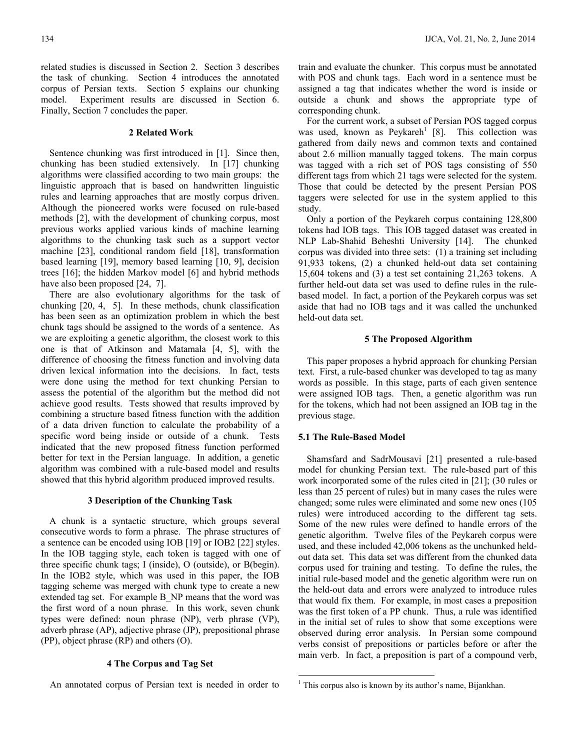related studies is discussed in Section 2. Section 3 describes the task of chunking. Section 4 introduces the annotated corpus of Persian texts. Section 5 explains our chunking model. Experiment results are discussed in Section 6. Finally, Section 7 concludes the paper.

#### **2 Related Work**

Sentence chunking was first introduced in [1]. Since then, chunking has been studied extensively. In [17] chunking algorithms were classified according to two main groups: the linguistic approach that is based on handwritten linguistic rules and learning approaches that are mostly corpus driven. Although the pioneered works were focused on rule-based methods [2], with the development of chunking corpus, most previous works applied various kinds of machine learning algorithms to the chunking task such as a support vector machine [23], conditional random field [18], transformation based learning [19], memory based learning [10, 9], decision trees [16]; the hidden Markov model [6] and hybrid methods have also been proposed [24, 7].

There are also evolutionary algorithms for the task of chunking [20, 4, 5]. In these methods, chunk classification has been seen as an optimization problem in which the best chunk tags should be assigned to the words of a sentence. As we are exploiting a genetic algorithm, the closest work to this one is that of Atkinson and Matamala [4, 5], with the difference of choosing the fitness function and involving data driven lexical information into the decisions. In fact, tests were done using the method for text chunking Persian to assess the potential of the algorithm but the method did not achieve good results. Tests showed that results improved by combining a structure based fitness function with the addition of a data driven function to calculate the probability of a specific word being inside or outside of a chunk. Tests indicated that the new proposed fitness function performed better for text in the Persian language. In addition, a genetic algorithm was combined with a rule-based model and results showed that this hybrid algorithm produced improved results.

## **3 Description of the Chunking Task**

A chunk is a syntactic structure, which groups several consecutive words to form a phrase. The phrase structures of a sentence can be encoded using IOB [19] or IOB2 [22] styles. In the IOB tagging style, each token is tagged with one of three specific chunk tags; I (inside), O (outside), or B(begin). In the IOB2 style, which was used in this paper, the IOB tagging scheme was merged with chunk type to create a new extended tag set. For example B\_NP means that the word was the first word of a noun phrase. In this work, seven chunk types were defined: noun phrase (NP), verb phrase (VP), adverb phrase (AP), adjective phrase (JP), prepositional phrase (PP), object phrase (RP) and others (O).

## **4 The Corpus and Tag Set**

An annotated corpus of Persian text is needed in order to

train and evaluate the chunker. This corpus must be annotated with POS and chunk tags. Each word in a sentence must be assigned a tag that indicates whether the word is inside or outside a chunk and shows the appropriate type of corresponding chunk.

For the current work, a subset of Persian POS tagged corpus was used, known as  $Peykareh<sup>1</sup>$  [8]. This collection was gathered from daily news and common texts and contained about 2.6 million manually tagged tokens. The main corpus was tagged with a rich set of POS tags consisting of 550 different tags from which 21 tags were selected for the system. Those that could be detected by the present Persian POS taggers were selected for use in the system applied to this study.

Only a portion of the Peykareh corpus containing 128,800 tokens had IOB tags. This IOB tagged dataset was created in NLP Lab-Shahid Beheshti University [14]. The chunked corpus was divided into three sets: (1) a training set including 91,933 tokens, (2) a chunked held-out data set containing 15,604 tokens and (3) a test set containing 21,263 tokens. A further held-out data set was used to define rules in the rulebased model. In fact, a portion of the Peykareh corpus was set aside that had no IOB tags and it was called the unchunked held-out data set.

#### **5 The Proposed Algorithm**

This paper proposes a hybrid approach for chunking Persian text. First, a rule-based chunker was developed to tag as many words as possible. In this stage, parts of each given sentence were assigned IOB tags. Then, a genetic algorithm was run for the tokens, which had not been assigned an IOB tag in the previous stage.

### **5.1 The Rule-Based Model**

Shamsfard and SadrMousavi [21] presented a rule-based model for chunking Persian text. The rule-based part of this work incorporated some of the rules cited in [21]; (30 rules or less than 25 percent of rules) but in many cases the rules were changed; some rules were eliminated and some new ones (105 rules) were introduced according to the different tag sets. Some of the new rules were defined to handle errors of the genetic algorithm. Twelve files of the Peykareh corpus were used, and these included 42,006 tokens as the unchunked heldout data set. This data set was different from the chunked data corpus used for training and testing. To define the rules, the initial rule-based model and the genetic algorithm were run on the held-out data and errors were analyzed to introduce rules that would fix them. For example, in most cases a preposition was the first token of a PP chunk. Thus, a rule was identified in the initial set of rules to show that some exceptions were observed during error analysis. In Persian some compound verbs consist of prepositions or particles before or after the main verb. In fact, a preposition is part of a compound verb,

<sup>&</sup>lt;sup>1</sup> This corpus also is known by its author's name, Bijankhan.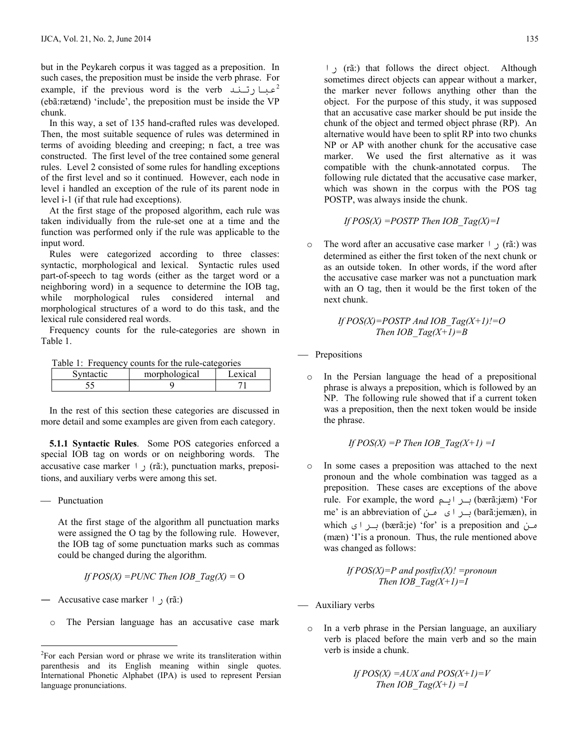but in the Peykareh corpus it was tagged as a preposition. In such cases, the preposition must be inside the verb phrase. For example, if the previous word is the verb <sup>2</sup> (ebã:rætænd) 'include', the preposition must be inside the VP chunk.

In this way, a set of 135 hand-crafted rules was developed. Then, the most suitable sequence of rules was determined in terms of avoiding bleeding and creeping; n fact, a tree was constructed. The first level of the tree contained some general rules. Level 2 consisted of some rules for handling exceptions of the first level and so it continued. However, each node in level i handled an exception of the rule of its parent node in level i-1 (if that rule had exceptions).

At the first stage of the proposed algorithm, each rule was taken individually from the rule-set one at a time and the function was performed only if the rule was applicable to the input word.

Rules were categorized according to three classes: syntactic, morphological and lexical. Syntactic rules used part-of-speech to tag words (either as the target word or a neighboring word) in a sequence to determine the IOB tag, while morphological rules considered internal and morphological structures of a word to do this task, and the lexical rule considered real words.

Frequency counts for the rule-categories are shown in Table 1.

Table 1: Frequency counts for the rule-categories

| actic | morphological | exical |
|-------|---------------|--------|
| ں ر   |               |        |

In the rest of this section these categories are discussed in more detail and some examples are given from each category.

 **5.1.1 Syntactic Rules**. Some POS categories enforced a special IOB tag on words or on neighboring words. The accusative case marker  $\vdash$ , (rã:), punctuation marks, prepositions, and auxiliary verbs were among this set.

- Punctuation

 $\overline{a}$ 

At the first stage of the algorithm all punctuation marks were assigned the O tag by the following rule. However, the IOB tag of some punctuation marks such as commas could be changed during the algorithm.

If 
$$
POS(X) = PUNC
$$
 Then  $IOB$   $Tag(X) = O$ 

Accusative case marker  $\vdash$  (rã:)

o The Persian language has an accusative case mark

έ (rã:) that follows the direct object. Although sometimes direct objects can appear without a marker, the marker never follows anything other than the object. For the purpose of this study, it was supposed that an accusative case marker should be put inside the chunk of the object and termed object phrase (RP). An alternative would have been to split RP into two chunks NP or AP with another chunk for the accusative case marker. We used the first alternative as it was compatible with the chunk-annotated corpus. The following rule dictated that the accusative case marker, which was shown in the corpus with the POS tag POSTP, was always inside the chunk.

If 
$$
POS(X) = POSTP
$$
 Then  $IOB_Tag(X)=I$ 

o The word after an accusative case marker (rã:) was determined as either the first token of the next chunk or as an outside token. In other words, if the word after the accusative case marker was not a punctuation mark with an O tag, then it would be the first token of the next chunk.

If 
$$
POS(X)=POSTP
$$
 And  $IOB_Tag(X+1)!=O$   
Then  $IOB_Tag(X+1)=B$ 

- Prepositions
	- o In the Persian language the head of a prepositional phrase is always a preposition, which is followed by an NP. The following rule showed that if a current token was a preposition, then the next token would be inside the phrase.

If 
$$
POS(X) = P
$$
 Then  $IOB_Tag(X+1) = I$ 

o In some cases a preposition was attached to the next pronoun and the whole combination was tagged as a preposition. These cases are exceptions of the above rule. For example, the word برايم (bærã:jæm) 'For me' is an abbreviation of برای من (barã:jemæn), in which برای (bærã:je) 'for' is a preposition and من (mæn) 'I'is a pronoun. Thus, the rule mentioned above was changed as follows:

If 
$$
POS(X)=P
$$
 and  $postfix(X)! = pronoun$   
Then  $IOB$   $Tag(X+1)=I$ 

- Auxiliary verbs
	- o In a verb phrase in the Persian language, an auxiliary verb is placed before the main verb and so the main verb is inside a chunk.

If 
$$
POS(X) = AUX
$$
 and  $POS(X+1)=V$   
Then  $IOB$   $Tag(X+1) = I$ 

<sup>&</sup>lt;sup>2</sup>For each Persian word or phrase we write its transliteration within parenthesis and its English meaning within single quotes. International Phonetic Alphabet (IPA) is used to represent Persian language pronunciations.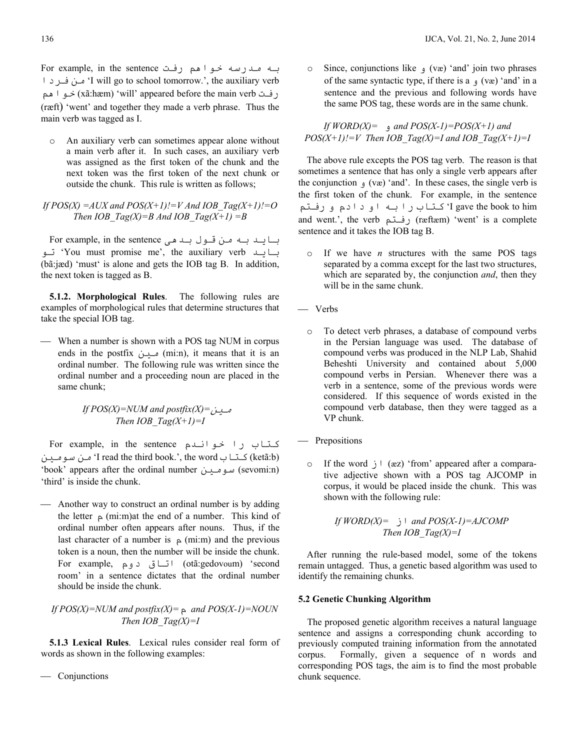For example, in the sentence به مدرسه خواهم رفت Ωήϓ Ϧϣ 'I will go to school tomorrow.', the auxiliary verb رفت (xãːhæm) 'will' appeared before the main verb حو اهم (ræft) 'went' and together they made a verb phrase. Thus the main verb was tagged as I.

o An auxiliary verb can sometimes appear alone without a main verb after it. In such cases, an auxiliary verb was assigned as the first token of the chunk and the next token was the first token of the next chunk or outside the chunk. This rule is written as follows;

*If POS(X) =AUX and POS(X+1)!=V And IOB\_Tag(X+1)!=O Then IOB*  $Tag(X)=B$  *And IOB*  $Tag(X+1) =B$ 

For example, in the sentence باید بله من قلول بلد هی بسايلد 'You must promise me', the auxiliary verb' تو (bã:jæd) 'must' is alone and gets the IOB tag B. In addition, the next token is tagged as B.

**5.1.2. Morphological Rules**. The following rules are examples of morphological rules that determine structures that take the special IOB tag.

 When a number is shown with a POS tag NUM in corpus ends in the postfix مین (mi:n), it means that it is an ordinal number. The following rule was written since the ordinal number and a proceeding noun are placed in the same chunk;

> مسين =*If POS(X)=NUM and postfix(X) Then IOB*  $Tag(X+1)=I$

For example, in the sentence كتاب را خوانىدم کتاب I read the third book.', the word' من سومين (ketã:b) 'book' appears after the ordinal number (sevomi:n) سومين 'third' is inside the chunk.

 Another way to construct an ordinal number is by adding the letter  $\alpha$  (mi:m)at the end of a number. This kind of ordinal number often appears after nouns. Thus, if the last character of a number is  $\varphi$  (mi:m) and the previous token is a noun, then the number will be inside the chunk. For example, اتاق دوم) (otã:gedovoum) 'second room' in a sentence dictates that the ordinal number should be inside the chunk.

*If POS(X)=NUM and postfix(X)=*ϡ *and POS(X-1)=NOUN Then IOB\_Tag(X)=I* 

 **5.1.3 Lexical Rules**. Lexical rules consider real form of words as shown in the following examples:

Conjunctions

o Since, conjunctions like (væ) 'and' join two phrases of the same syntactic type, if there is a  $(x\alpha)$  'and' in a sentence and the previous and following words have the same POS tag, these words are in the same chunk.

*If WORD(X)*= and *POS(X-1)*=*POS(X+1)* and  $POS(X+1)!=V$  Then IOB\_Tag(X)=I and IOB\_Tag(X+1)=I

The above rule excepts the POS tag verb. The reason is that sometimes a sentence that has only a single verb appears after the conjunction  $(x^e)$  'and'. In these cases, the single verb is the first token of the chunk. For example, in the sentence I gave the book to him کتاب را بـه او دادم و رفـتم and went.', the verb (رفتم (ræftæm) 'went' is a complete sentence and it takes the IOB tag B.

- o If we have *n* structures with the same POS tags separated by a comma except for the last two structures, which are separated by, the conjunction *and*, then they will be in the same chunk.
- Verbs
	- o To detect verb phrases, a database of compound verbs in the Persian language was used. The database of compound verbs was produced in the NLP Lab, Shahid Beheshti University and contained about 5,000 compound verbs in Persian. Whenever there was a verb in a sentence, some of the previous words were considered. If this sequence of words existed in the compound verb database, then they were tagged as a VP chunk.
- Prepositions
	- o If the word  $j \mid (az)$  'from' appeared after a comparative adjective shown with a POS tag AJCOMP in corpus, it would be placed inside the chunk. This was shown with the following rule:

If 
$$
WORD(X) = \bigcup_{i=1}^{\infty} I
$$
 and  $POS(X-1)=AJCOMP$   
Then  $IOB Tag(X)=I$ 

After running the rule-based model, some of the tokens remain untagged. Thus, a genetic based algorithm was used to identify the remaining chunks.

## **5.2 Genetic Chunking Algorithm**

The proposed genetic algorithm receives a natural language sentence and assigns a corresponding chunk according to previously computed training information from the annotated corpus. Formally, given a sequence of n words and corresponding POS tags, the aim is to find the most probable chunk sequence.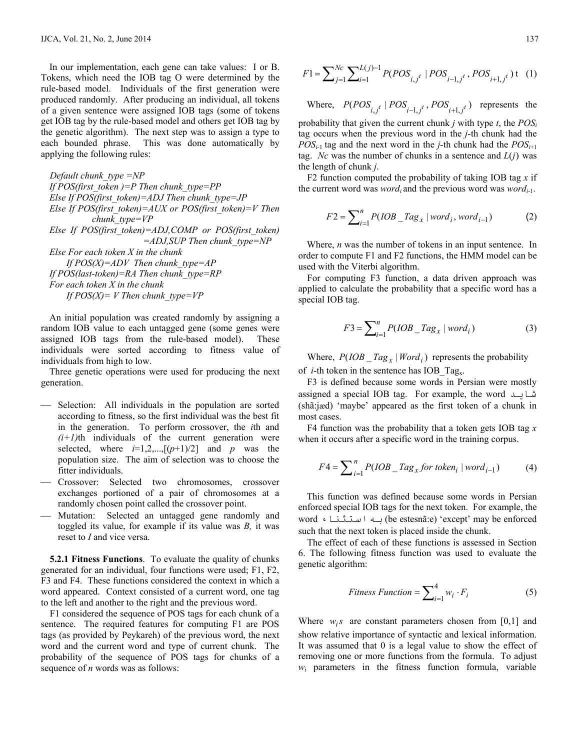In our implementation, each gene can take values: I or B. Tokens, which need the IOB tag O were determined by the rule-based model. Individuals of the first generation were produced randomly. After producing an individual, all tokens of a given sentence were assigned IOB tags (some of tokens get IOB tag by the rule-based model and others get IOB tag by the genetic algorithm). The next step was to assign a type to each bounded phrase. This was done automatically by applying the following rules:

*Default chunk\_type =NP If POS(first\_token )=P Then chunk\_type=PP Else If POS(first\_token)=ADJ Then chunk\_type=JP Else If POS(first\_token)=AUX or POS(first\_token)=V Then chunk\_type=VP Else If POS(first\_token)=ADJ,COMP or POS(first\_token) =ADJ,SUP Then chunk\_type=NP Else For each token X in the chunk If POS(X)=ADV Then chunk\_type=AP If POS(last-token)=RA Then chunk\_type=RP For each token X in the chunk If POS(X)* = *V* Then chunk type=VP

An initial population was created randomly by assigning a random IOB value to each untagged gene (some genes were assigned IOB tags from the rule-based model). These individuals were sorted according to fitness value of individuals from high to low.

Three genetic operations were used for producing the next generation.

- Selection: All individuals in the population are sorted according to fitness, so the first individual was the best fit in the generation. To perform crossover, the *i*th and  $(i+1)$ th individuals of the current generation were selected, where  $i=1,2,...,[(p+1)/2]$  and  $p$  was the population size. The aim of selection was to choose the fitter individuals.
- Crossover: Selected two chromosomes, crossover exchanges portioned of a pair of chromosomes at a randomly chosen point called the crossover point.
- Mutation: Selected an untagged gene randomly and toggled its value, for example if its value was *B,* it was reset to *I* and vice versa.

**5.2.1 Fitness Functions**. To evaluate the quality of chunks generated for an individual, four functions were used; F1, F2, F3 and F4. These functions considered the context in which a word appeared. Context consisted of a current word, one tag to the left and another to the right and the previous word.

F1 considered the sequence of POS tags for each chunk of a sentence. The required features for computing F1 are POS tags (as provided by Peykareh) of the previous word, the next word and the current word and type of current chunk. The probability of the sequence of POS tags for chunks of a sequence of *n* words was as follows:

$$
F1 = \sum_{j=1}^{Nc} \sum_{i=1}^{L(j)-1} P(POS_{i,j}t} |POS_{i-1,j}t}, POS_{i+1,j}t) \tag{1}
$$

Where,  $P(POS_{i,j} t \mid POS_{i-1,j} t$ ,  $POS_{i+1,j} t$ ) represents the probability that given the current chunk  $j$  with type  $t$ , the  $POS_i$ tag occurs when the previous word in the *j*-th chunk had the *POS<sub>i-1</sub>* tag and the next word in the *j*-th chunk had the  $POS_{i+1}$ tag. *Nc* was the number of chunks in a sentence and  $L(i)$  was the length of chunk *j*.

F2 function computed the probability of taking IOB tag *x* if the current word was *word<sub>i</sub>* and the previous word was *word*<sub>*i*-1</sub>.

$$
F2 = \sum_{i=1}^{n} P(IOB \_Tag_x \mid word_i, word_{i-1})
$$
 (2)

Where, *n* was the number of tokens in an input sentence. In order to compute F1 and F2 functions, the HMM model can be used with the Viterbi algorithm.

For computing F3 function, a data driven approach was applied to calculate the probability that a specific word has a special IOB tag.

$$
F3 = \sum_{i=1}^{n} P(IOB \_Tag_x \mid word_i)
$$
 (3)

Where,  $P(IOB\_Tag_x | Word_i)$  represents the probability of *i*-th token in the sentence has IOB\_Tagx.

F3 is defined because some words in Persian were mostly assigned a special IOB tag. For example, the word شابد (shã:jæd) 'maybe' appeared as the first token of a chunk in most cases.

F4 function was the probability that a token gets IOB tag *x* when it occurs after a specific word in the training corpus.

$$
F4 = \sum_{i=1}^{n} P(IOB - Tag_x for token_i | word_{i-1})
$$
 (4)

This function was defined because some words in Persian enforced special IOB tags for the next token. For example, the word • ابله استثنا (be estesnã:e) 'except' may be enforced such that the next token is placed inside the chunk.

The effect of each of these functions is assessed in Section 6. The following fitness function was used to evaluate the genetic algorithm:

$$
Fitness Function = \sum_{i=1}^{4} w_i \cdot F_i
$$
 (5)

Where  $w_i s$  are constant parameters chosen from [0,1] and show relative importance of syntactic and lexical information. It was assumed that 0 is a legal value to show the effect of removing one or more functions from the formula. To adjust *w*i parameters in the fitness function formula, variable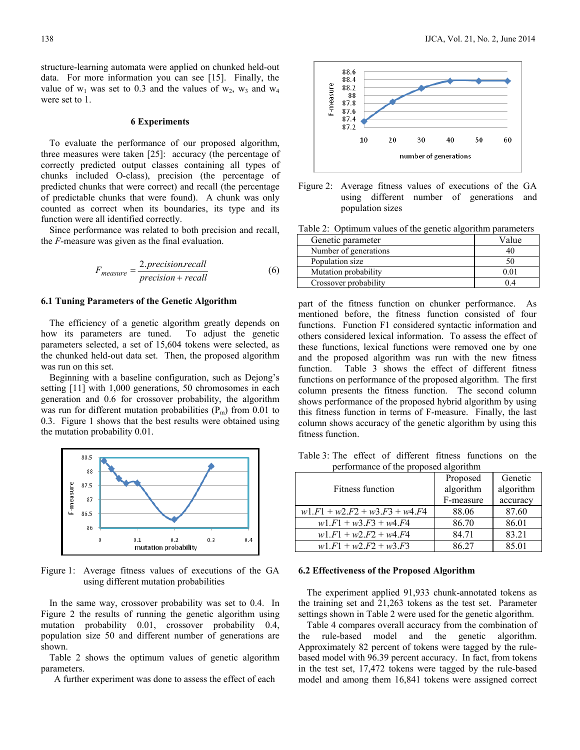structure-learning automata were applied on chunked held-out data. For more information you can see [15]. Finally, the value of  $w_1$  was set to 0.3 and the values of  $w_2$ ,  $w_3$  and  $w_4$ were set to 1.

#### **6 Experiments**

To evaluate the performance of our proposed algorithm, three measures were taken [25]: accuracy (the percentage of correctly predicted output classes containing all types of chunks included O-class), precision (the percentage of predicted chunks that were correct) and recall (the percentage of predictable chunks that were found). A chunk was only counted as correct when its boundaries, its type and its function were all identified correctly.

Since performance was related to both precision and recall, the *F*-measure was given as the final evaluation.

$$
F_{measure} = \frac{2.precision.recall}{precision + recall}
$$
 (6)

#### **6.1 Tuning Parameters of the Genetic Algorithm**

The efficiency of a genetic algorithm greatly depends on how its parameters are tuned. To adjust the genetic parameters selected, a set of 15,604 tokens were selected, as the chunked held-out data set. Then, the proposed algorithm was run on this set.

Beginning with a baseline configuration, such as Dejong's setting [11] with 1,000 generations, 50 chromosomes in each generation and 0.6 for crossover probability, the algorithm was run for different mutation probabilities  $(P_m)$  from 0.01 to 0.3. Figure 1 shows that the best results were obtained using the mutation probability 0.01.



Figure 1: Average fitness values of executions of the GA using different mutation probabilities

In the same way, crossover probability was set to 0.4. In Figure 2 the results of running the genetic algorithm using mutation probability 0.01, crossover probability 0.4, population size 50 and different number of generations are shown.

Table 2 shows the optimum values of genetic algorithm parameters.

A further experiment was done to assess the effect of each



Figure 2: Average fitness values of executions of the GA using different number of generations and population sizes

Table 2: Optimum values of the genetic algorithm parameters

| Genetic parameter     | Value |
|-----------------------|-------|
| Number of generations |       |
| Population size       | 50    |
| Mutation probability  |       |
| Crossover probability |       |

part of the fitness function on chunker performance. As mentioned before, the fitness function consisted of four functions. Function F1 considered syntactic information and others considered lexical information. To assess the effect of these functions, lexical functions were removed one by one and the proposed algorithm was run with the new fitness function. Table 3 shows the effect of different fitness functions on performance of the proposed algorithm. The first column presents the fitness function. The second column shows performance of the proposed hybrid algorithm by using this fitness function in terms of F-measure. Finally, the last column shows accuracy of the genetic algorithm by using this fitness function.

Table 3: The effect of different fitness functions on the performance of the proposed algorithm

|                                 | Proposed  | Genetic   |
|---------------------------------|-----------|-----------|
| <b>Fitness function</b>         | algorithm | algorithm |
|                                 | F-measure | accuracy  |
| $w1.F1 + w2.F2 + w3.F3 + w4.F4$ | 88.06     | 87.60     |
| $w1.F1 + w3.F3 + w4.F4$         | 86.70     | 86.01     |
| $w1.F1 + w2.F2 + w4.F4$         | 84.71     | 83.21     |
| $w1.F1 + w2.F2 + w3.F3$         | 86.27     | 85.01     |

#### **6.2 Effectiveness of the Proposed Algorithm**

The experiment applied 91,933 chunk-annotated tokens as the training set and 21,263 tokens as the test set. Parameter settings shown in Table 2 were used for the genetic algorithm.

Table 4 compares overall accuracy from the combination of the rule-based model and the genetic algorithm. Approximately 82 percent of tokens were tagged by the rulebased model with 96.39 percent accuracy. In fact, from tokens in the test set, 17,472 tokens were tagged by the rule-based model and among them 16,841 tokens were assigned correct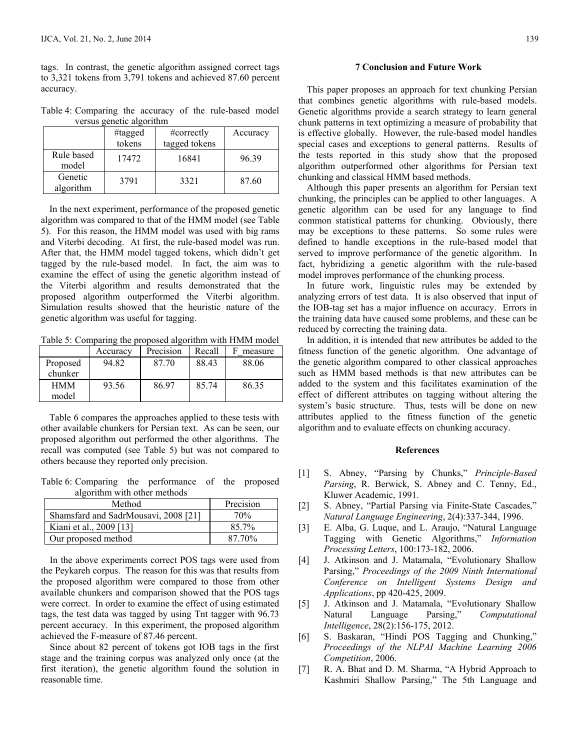tags. In contrast, the genetic algorithm assigned correct tags to 3,321 tokens from 3,791 tokens and achieved 87.60 percent accuracy.

Table 4: Comparing the accuracy of the rule-based model versus genetic algorithm

|                      | #tagged<br>tokens | #correctly<br>tagged tokens | Accuracy |
|----------------------|-------------------|-----------------------------|----------|
| Rule based<br>model  | 17472             | 16841                       | 96.39    |
| Genetic<br>algorithm | 3791              | 3321                        | 87.60    |

In the next experiment, performance of the proposed genetic algorithm was compared to that of the HMM model (see Table 5). For this reason, the HMM model was used with big rams and Viterbi decoding. At first, the rule-based model was run. After that, the HMM model tagged tokens, which didn't get tagged by the rule-based model. In fact, the aim was to examine the effect of using the genetic algorithm instead of the Viterbi algorithm and results demonstrated that the proposed algorithm outperformed the Viterbi algorithm. Simulation results showed that the heuristic nature of the genetic algorithm was useful for tagging.

Table 5: Comparing the proposed algorithm with HMM model

|            | Accuracy | Precision | Recall | measure |
|------------|----------|-----------|--------|---------|
| Proposed   | 94.82    | 87.70     | 88.43  | 88.06   |
| chunker    |          |           |        |         |
| <b>HMM</b> | 93.56    | 86.97     | 85.74  | 86.35   |
| model      |          |           |        |         |

Table 6 compares the approaches applied to these tests with other available chunkers for Persian text. As can be seen, our proposed algorithm out performed the other algorithms. The recall was computed (see Table 5) but was not compared to others because they reported only precision.

Table 6: Comparing the performance of the proposed algorithm with other methods

| Method                               | Precision |
|--------------------------------------|-----------|
| Shamsfard and SadrMousavi, 2008 [21] | 70%       |
| Kiani et al., 2009 [13]              | 85.7%     |
| Our proposed method                  | 87 70%    |

In the above experiments correct POS tags were used from the Peykareh corpus. The reason for this was that results from the proposed algorithm were compared to those from other available chunkers and comparison showed that the POS tags were correct. In order to examine the effect of using estimated tags, the test data was tagged by using Tnt tagger with 96.73 percent accuracy. In this experiment, the proposed algorithm achieved the F-measure of 87.46 percent.

Since about 82 percent of tokens got IOB tags in the first stage and the training corpus was analyzed only once (at the first iteration), the genetic algorithm found the solution in reasonable time.

#### **7 Conclusion and Future Work**

This paper proposes an approach for text chunking Persian that combines genetic algorithms with rule-based models. Genetic algorithms provide a search strategy to learn general chunk patterns in text optimizing a measure of probability that is effective globally. However, the rule-based model handles special cases and exceptions to general patterns. Results of the tests reported in this study show that the proposed algorithm outperformed other algorithms for Persian text chunking and classical HMM based methods.

Although this paper presents an algorithm for Persian text chunking, the principles can be applied to other languages. A genetic algorithm can be used for any language to find common statistical patterns for chunking. Obviously, there may be exceptions to these patterns. So some rules were defined to handle exceptions in the rule-based model that served to improve performance of the genetic algorithm. In fact, hybridizing a genetic algorithm with the rule-based model improves performance of the chunking process.

In future work, linguistic rules may be extended by analyzing errors of test data. It is also observed that input of the IOB-tag set has a major influence on accuracy. Errors in the training data have caused some problems, and these can be reduced by correcting the training data.

In addition, it is intended that new attributes be added to the fitness function of the genetic algorithm. One advantage of the genetic algorithm compared to other classical approaches such as HMM based methods is that new attributes can be added to the system and this facilitates examination of the effect of different attributes on tagging without altering the system's basic structure. Thus, tests will be done on new attributes applied to the fitness function of the genetic algorithm and to evaluate effects on chunking accuracy.

### **References**

- [1] S. Abney, "Parsing by Chunks," *Principle-Based Parsing*, R. Berwick, S. Abney and C. Tenny, Ed., Kluwer Academic, 1991.
- [2] S. Abney, "Partial Parsing via Finite-State Cascades," *Natural Language Engineering*, 2(4):337-344, 1996.
- [3] E. Alba, G. Luque, and L. Araujo, "Natural Language Tagging with Genetic Algorithms," *Information Processing Letters*, 100:173-182, 2006.
- [4] J. Atkinson and J. Matamala, "Evolutionary Shallow Parsing," *Proceedings of the 2009 Ninth International Conference on Intelligent Systems Design and Applications*, pp 420-425, 2009.
- [5] J. Atkinson and J. Matamala, "Evolutionary Shallow Natural Language Parsing," *Computational Intelligence*, 28(2):156-175, 2012.
- [6] S. Baskaran, "Hindi POS Tagging and Chunking," *Proceedings of the NLPAI Machine Learning 2006 Competition*, 2006.
- [7] R. A. Bhat and D. M. Sharma, "A Hybrid Approach to Kashmiri Shallow Parsing," The 5th Language and